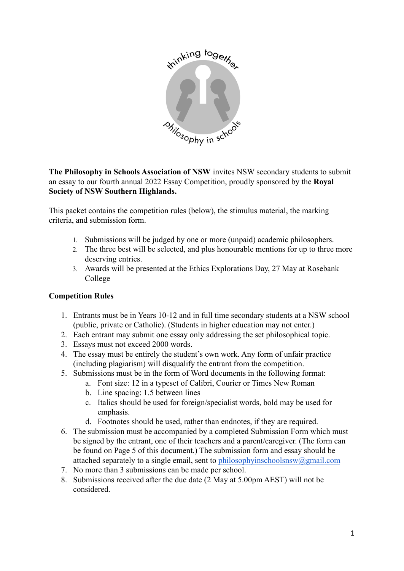

**The Philosophy in Schools Association of NSW** invites NSW secondary students to submit an essay to our fourth annual 2022 Essay Competition, proudly sponsored by the **Royal Society of NSW Southern Highlands.**

This packet contains the competition rules (below), the stimulus material, the marking criteria, and submission form.

- 1. Submissions will be judged by one or more (unpaid) academic philosophers.
- 2. The three best will be selected, and plus honourable mentions for up to three more deserving entries.
- 3. Awards will be presented at the Ethics Explorations Day, 27 May at Rosebank College

## **Competition Rules**

- 1. Entrants must be in Years 10-12 and in full time secondary students at a NSW school (public, private or Catholic). (Students in higher education may not enter.)
- 2. Each entrant may submit one essay only addressing the set philosophical topic.
- 3. Essays must not exceed 2000 words.
- 4. The essay must be entirely the student's own work. Any form of unfair practice (including plagiarism) will disqualify the entrant from the competition.
- 5. Submissions must be in the form of Word documents in the following format:
	- a. Font size: 12 in a typeset of Calibri, Courier or Times New Roman
	- b. Line spacing: 1.5 between lines
	- c. Italics should be used for foreign/specialist words, bold may be used for emphasis.
	- d. Footnotes should be used, rather than endnotes, if they are required.
- 6. The submission must be accompanied by a completed Submission Form which must be signed by the entrant, one of their teachers and a parent/caregiver. (The form can be found on Page 5 of this document.) The submission form and essay should be attached separately to a single email, sent to [philosophyinschoolsnsw@gmail.com](mailto:philosophyinschoolsnsw@gmail.com)
- 7. No more than 3 submissions can be made per school.
- 8. Submissions received after the due date (2 May at 5.00pm AEST) will not be considered.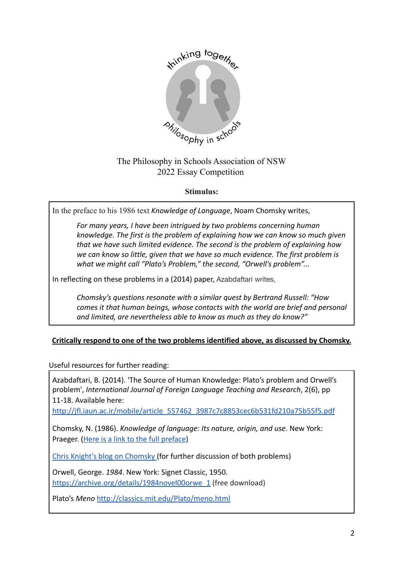

# The Philosophy in Schools Association of NSW 2022 Essay Competition

## **Stimulus:**

In the preface to his 1986 text *Knowledge of Language*, Noam Chomsky writes,

*For many years, I have been intrigued by two problems concerning human knowledge. The first is the problem of explaining how we can know so much given that we have such limited evidence. The second is the problem of explaining how we can know so little, given that we have so much evidence. The first problem is what we might call "Plato's Problem," the second, "Orwell's problem"...*

In reflecting on these problems in a (2014) paper, Azabdaftari writes,

*Chomsky's questions resonate with a similar quest by Bertrand Russell: "How comes it that human beings, whose contacts with the world are brief and personal and limited, are nevertheless able to know as much as they do know?"*

## **Critically respond to one of the two problems identified above, as discussed by Chomsky.**

Useful resources for further reading:

Azabdaftari, B. (2014). 'The Source of Human Knowledge: Plato's problem and Orwell's problem', *International Journal of Foreign Language Teaching and Research*, 2(6), pp 11-18. Available here:

[http://jfl.iaun.ac.ir/mobile/article\\_557462\\_3987c7c8853cec6b531fd210a75b55f5.pdf](http://jfl.iaun.ac.ir/mobile/article_557462_3987c7c8853cec6b531fd210a75b55f5.pdf)

Chomsky, N. (1986). *Knowledge of language: Its nature, origin, and use*. New York: Praeger. ([Here is a link to the full preface](https://drive.google.com/file/d/13T-uOMR6SuO-pIJl730Nq6T5jkS525Ue/view?usp=sharing))

[Chris Knight's blog on Chomsky](http://scienceandrevolution.org/blog/2016/7/10/the-revolutionary-chapter-1-of-decoding-chomsky) (for further discussion of both problems)

Orwell, George. *1984*. New York: Signet Classic, 1950. [https://archive.org/details/1984novel00orwe\\_1](https://archive.org/details/1984novel00orwe_1) (free download)

Plato's *Meno* <http://classics.mit.edu/Plato/meno.html>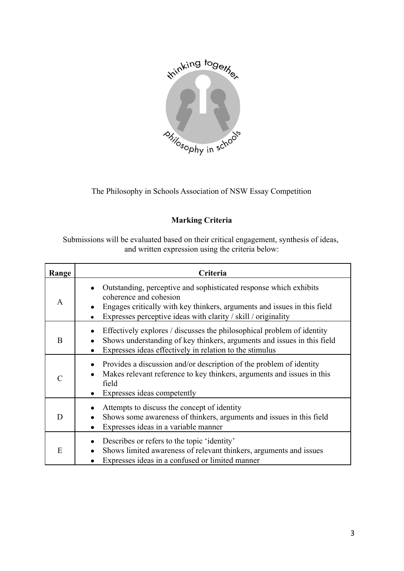

The Philosophy in Schools Association of NSW Essay Competition

## **Marking Criteria**

Submissions will be evaluated based on their critical engagement, synthesis of ideas, and written expression using the criteria below:

| Range | Criteria                                                                                                                                                                                                                                              |  |
|-------|-------------------------------------------------------------------------------------------------------------------------------------------------------------------------------------------------------------------------------------------------------|--|
| A     | Outstanding, perceptive and sophisticated response which exhibits<br>coherence and cohesion<br>Engages critically with key thinkers, arguments and issues in this field<br>$\bullet$<br>Expresses perceptive ideas with clarity / skill / originality |  |
| B     | Effectively explores / discusses the philosophical problem of identity<br>Shows understanding of key thinkers, arguments and issues in this field<br>Expresses ideas effectively in relation to the stimulus                                          |  |
|       | Provides a discussion and/or description of the problem of identity<br>Makes relevant reference to key thinkers, arguments and issues in this<br>field<br>Expresses ideas competently                                                                 |  |
| D     | Attempts to discuss the concept of identity<br>Shows some awareness of thinkers, arguments and issues in this field<br>Expresses ideas in a variable manner                                                                                           |  |
| E     | Describes or refers to the topic 'identity'<br>Shows limited awareness of relevant thinkers, arguments and issues<br>Expresses ideas in a confused or limited manner                                                                                  |  |